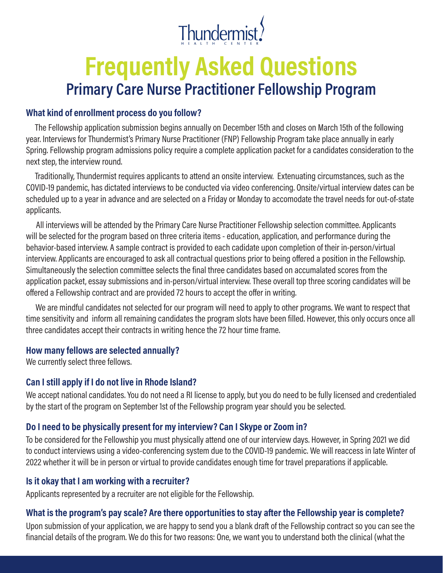

# **Frequently Asked Questions Primary Care Nurse Practitioner Fellowship Program**

#### **What kind of enrollment process do you follow?**

The Fellowship application submission begins annually on December 15th and closes on March 15th of the following year. Interviews for Thundermist's Primary Nurse Practitioner (FNP) Fellowship Program take place annually in early Spring. Fellowship program admissions policy require a complete application packet for a candidates consideration to the next step, the interview round.

Traditionally, Thundermist requires applicants to attend an onsite interview. Extenuating circumstances, such as the COVID-19 pandemic, has dictated interviews to be conducted via video conferencing. Onsite/virtual interview dates can be scheduled up to a year in advance and are selected on a Friday or Monday to accomodate the travel needs for out-of-state applicants.

All interviews will be attended by the Primary Care Nurse Practitioner Fellowship selection committee. Applicants will be selected for the program based on three criteria items - education, application, and performance during the behavior-based interview. A sample contract is provided to each cadidate upon completion of their in-person/virtual interview. Applicants are encouraged to ask all contractual questions prior to being offered a position in the Fellowship. Simultaneously the selection committee selects the final three candidates based on accumalated scores from the application packet, essay submissions and in-person/virtual interview. These overall top three scoring candidates will be offered a Fellowship contract and are provided 72 hours to accept the offer in writing.

We are mindful candidates not selected for our program will need to apply to other programs. We want to respect that time sensitivity and inform all remaining candidates the program slots have been filled. However, this only occurs once all three candidates accept their contracts in writing hence the 72 hour time frame.

#### **How many fellows are selected annually?**

We currently select three fellows.

## **Can I still apply if I do not live in Rhode Island?**

We accept national candidates. You do not need a RI license to apply, but you do need to be fully licensed and credentialed by the start of the program on September 1st of the Fellowship program year should you be selected.

## **Do I need to be physically present for my interview? Can I Skype or Zoom in?**

To be considered for the Fellowship you must physically attend one of our interview days. However, in Spring 2021 we did to conduct interviews using a video-conferencing system due to the COVID-19 pandemic. We will reaccess in late Winter of 2022 whether it will be in person or virtual to provide candidates enough time for travel preparations if applicable.

## **Is it okay that I am working with a recruiter?**

Applicants represented by a recruiter are not eligible for the Fellowship.

## **What is the program's pay scale? Are there opportunities to stay after the Fellowship year is complete?**

Upon submission of your application, we are happy to send you a blank draft of the Fellowship contract so you can see the financial details of the program. We do this for two reasons: One, we want you to understand both the clinical (what the